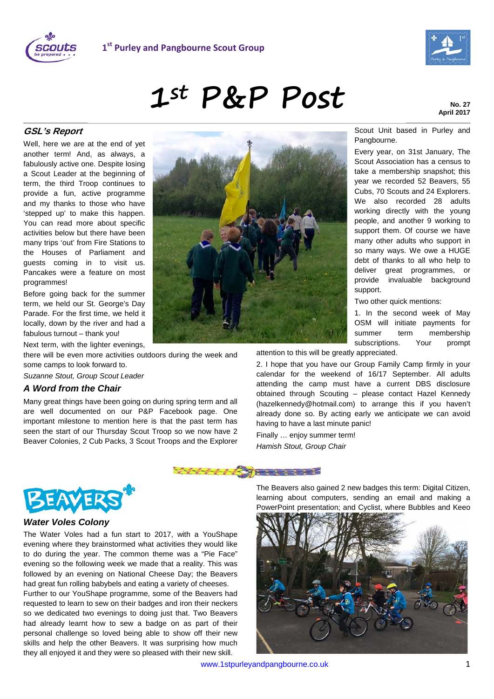



# **1st P&P Post**

Scout Unit based in Purley and

Every year, on 31st January, The Scout Association has a census to take a membership snapshot; this year we recorded 52 Beavers, 55 Cubs, 70 Scouts and 24 Explorers. We also recorded 28 adults working directly with the young people, and another 9 working to support them. Of course we have many other adults who support in so many ways. We owe a HUGE debt of thanks to all who help to deliver great programmes, or provide invaluable background

Pangbourne.

# **GSL's Report**

Well, here we are at the end of yet another term! And, as always, a fabulously active one. Despite losing a Scout Leader at the beginning of term, the third Troop continues to provide a fun, active programme and my thanks to those who have 'stepped up' to make this happen. You can read more about specific activities below but there have been many trips 'out' from Fire Stations to the Houses of Parliament and guests coming in to visit us. Pancakes were a feature on most programmes!

Before going back for the summer term, we held our St. George's Day Parade. For the first time, we held it locally, down by the river and had a fabulous turnout – thank you!

Next term, with the lighter evenings,

there will be even more activities outdoors during the week and some camps to look forward to.

*Suzanne Stout, Group Scout Leader*

#### *A Word from the Chair*

Many great things have been going on during spring term and all are well documented on our P&P Facebook page. One important milestone to mention here is that the past term has seen the start of our Thursday Scout Troop so we now have 2 Beaver Colonies, 2 Cub Packs, 3 Scout Troops and the Explorer



attention to this will be greatly appreciated.

2. I hope that you have our Group Family Camp firmly in your calendar for the weekend of 16/17 September. All adults attending the camp must have a current DBS disclosure obtained through Scouting – please contact Hazel Kennedy (hazelkennedy@hotmail.com) to arrange this if you haven't already done so. By acting early we anticipate we can avoid having to have a last minute panic!

support.

Two other quick mentions:

1. In the second week of May OSM will initiate payments for summer term membership subscriptions. Your prompt

Finally … enjoy summer term! *Hamish Stout, Group Chair*





#### *Water Voles Colony*

The Water Voles had a fun start to 2017, with a YouShape evening where they brainstormed what activities they would like to do during the year. The common theme was a "Pie Face" evening so the following week we made that a reality. This was followed by an evening on National Cheese Day; the Beavers had great fun rolling babybels and eating a variety of cheeses.

Further to our YouShape programme, some of the Beavers had requested to learn to sew on their badges and iron their neckers so we dedicated two evenings to doing just that. Two Beavers had already learnt how to sew a badge on as part of their personal challenge so loved being able to show off their new skills and help the other Beavers. It was surprising how much they all enjoyed it and they were so pleased with their new skill.

The Beavers also gained 2 new badges this term: Digital Citizen, learning about computers, sending an email and making a PowerPoint presentation; and Cyclist, where Bubbles and Keeo

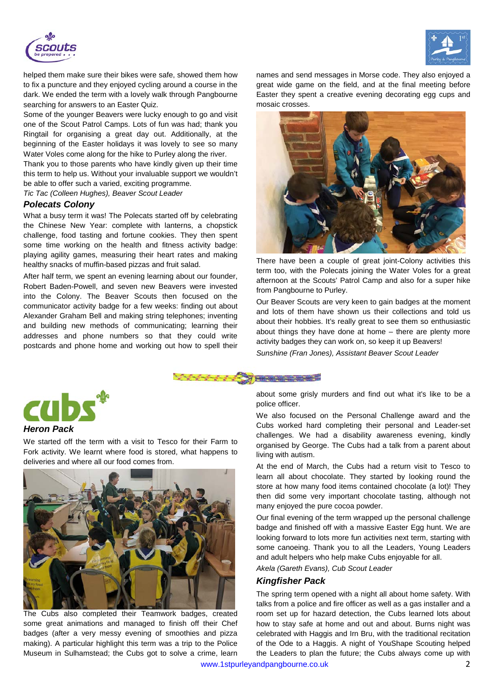

helped them make sure their bikes were safe, showed them how to fix a puncture and they enjoyed cycling around a course in the dark. We ended the term with a lovely walk through Pangbourne searching for answers to an Easter Quiz.

Some of the younger Beavers were lucky enough to go and visit one of the Scout Patrol Camps. Lots of fun was had; thank you Ringtail for organising a great day out. Additionally, at the beginning of the Easter holidays it was lovely to see so many Water Voles come along for the hike to Purley along the river.

Thank you to those parents who have kindly given up their time this term to help us. Without your invaluable support we wouldn't be able to offer such a varied, exciting programme.

*Tic Tac (Colleen Hughes), Beaver Scout Leader*

#### *Polecats Colony*

What a busy term it was! The Polecats started off by celebrating the Chinese New Year: complete with lanterns, a chopstick challenge, food tasting and fortune cookies. They then spent some time working on the health and fitness activity badge: playing agility games, measuring their heart rates and making healthy snacks of muffin-based pizzas and fruit salad.

After half term, we spent an evening learning about our founder, Robert Baden-Powell, and seven new Beavers were invested into the Colony. The Beaver Scouts then focused on the communicator activity badge for a few weeks: finding out about Alexander Graham Bell and making string telephones; inventing and building new methods of communicating; learning their addresses and phone numbers so that they could write postcards and phone home and working out how to spell their





There have been a couple of great joint-Colony activities this term too, with the Polecats joining the Water Voles for a great afternoon at the Scouts' Patrol Camp and also for a super hike from Pangbourne to Purley.

Our Beaver Scouts are very keen to gain badges at the moment and lots of them have shown us their collections and told us about their hobbies. It's really great to see them so enthusiastic about things they have done at home – there are plenty more activity badges they can work on, so keep it up Beavers!

*Sunshine (Fran Jones), Assistant Beaver Scout Leader*





## *Heron Pack*

We started off the term with a visit to Tesco for their Farm to Fork activity. We learnt where food is stored, what happens to deliveries and where all our food comes from.



The Cubs also completed their Teamwork badges, created some great animations and managed to finish off their Chef badges (after a very messy evening of smoothies and pizza making). A particular highlight this term was a trip to the Police Museum in Sulhamstead; the Cubs got to solve a crime, learn

about some grisly murders and find out what it's like to be a police officer.

We also focused on the Personal Challenge award and the Cubs worked hard completing their personal and Leader-set challenges. We had a disability awareness evening, kindly organised by George. The Cubs had a talk from a parent about living with autism.

At the end of March, the Cubs had a return visit to Tesco to learn all about chocolate. They started by looking round the store at how many food items contained chocolate (a lot)! They then did some very important chocolate tasting, although not many enjoyed the pure cocoa powder.

Our final evening of the term wrapped up the personal challenge badge and finished off with a massive Easter Egg hunt. We are looking forward to lots more fun activities next term, starting with some canoeing. Thank you to all the Leaders, Young Leaders and adult helpers who help make Cubs enjoyable for all.

*Akela (Gareth Evans), Cub Scout Leader*

#### *Kingfisher Pack*

The spring term opened with a night all about home safety. With talks from a police and fire officer as well as a gas installer and a room set up for hazard detection, the Cubs learned lots about how to stay safe at home and out and about. Burns night was celebrated with Haggis and Irn Bru, with the traditional recitation of the Ode to a Haggis. A night of YouShape Scouting helped the Leaders to plan the future; the Cubs always come up with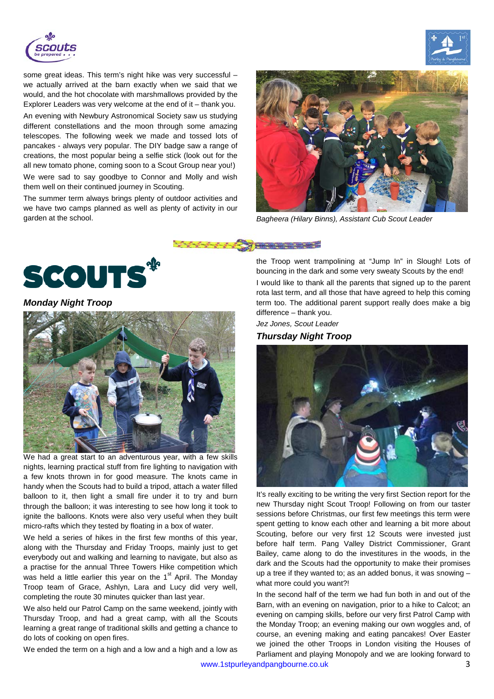

some great ideas. This term's night hike was very successful – we actually arrived at the barn exactly when we said that we would, and the hot chocolate with marshmallows provided by the Explorer Leaders was very welcome at the end of it – thank you.

An evening with Newbury Astronomical Society saw us studying different constellations and the moon through some amazing telescopes. The following week we made and tossed lots of pancakes - always very popular. The DIY badge saw a range of creations, the most popular being a selfie stick (look out for the all new tomato phone, coming soon to a Scout Group near you!) We were sad to say goodbye to Connor and Molly and wish them well on their continued journey in Scouting.

The summer term always brings plenty of outdoor activities and we have two camps planned as well as plenty of activity in our garden at the school. *Bagheera (Hilary Binns), Assistant Cub Scout Leader*







*Monday Night Troop*



We had a great start to an adventurous year, with a few skills nights, learning practical stuff from fire lighting to navigation with a few knots thrown in for good measure. The knots came in handy when the Scouts had to build a tripod, attach a water filled balloon to it, then light a small fire under it to try and burn through the balloon; it was interesting to see how long it took to ignite the balloons. Knots were also very useful when they built micro-rafts which they tested by floating in a box of water.

We held a series of hikes in the first few months of this year, along with the Thursday and Friday Troops, mainly just to get everybody out and walking and learning to navigate, but also as a practise for the annual Three Towers Hike competition which was held a little earlier this year on the  $1<sup>st</sup>$  April. The Monday Troop team of Grace, Ashlyn, Lara and Lucy did very well, completing the route 30 minutes quicker than last year.

We also held our Patrol Camp on the same weekend, jointly with Thursday Troop, and had a great camp, with all the Scouts learning a great range of traditional skills and getting a chance to do lots of cooking on open fires.

We ended the term on a high and a low and a high and a low as

the Troop went trampolining at "Jump In" in Slough! Lots of bouncing in the dark and some very sweaty Scouts by the end! I would like to thank all the parents that signed up to the parent rota last term, and all those that have agreed to help this coming term too. The additional parent support really does make a big difference – thank you.

*Jez Jones, Scout Leader*

### *Thursday Night Troop*



It's really exciting to be writing the very first Section report for the new Thursday night Scout Troop! Following on from our taster sessions before Christmas, our first few meetings this term were spent getting to know each other and learning a bit more about Scouting, before our very first 12 Scouts were invested just before half term. Pang Valley District Commissioner, Grant Bailey, came along to do the investitures in the woods, in the dark and the Scouts had the opportunity to make their promises up a tree if they wanted to; as an added bonus, it was snowing – what more could you want?!

In the second half of the term we had fun both in and out of the Barn, with an evening on navigation, prior to a hike to Calcot; an evening on camping skills, before our very first Patrol Camp with the Monday Troop; an evening making our own woggles and, of course, an evening making and eating pancakes! Over Easter we joined the other Troops in London visiting the Houses of Parliament and playing Monopoly and we are looking forward to